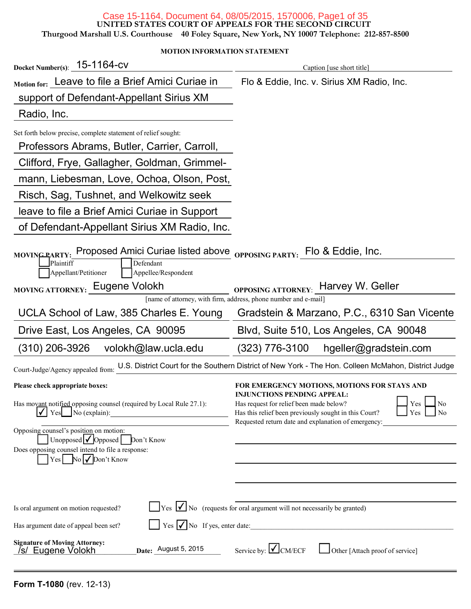#### Case 15-1164, Document 64, 08/05/2015, 1570006, Page1 of 35

UNITED STATES COURT OF APPEALS FOR THE SECOND CIRCUIT

Thurgood Marshall U.S. Courthouse 40 Foley Square, New York, NY 10007 Telephone: 212-857-8500

MOTION INFORMATION STATEMENT

| Docket $\text{Number}(s):$ $\_$ 15-1164-CV                                                                                                                                | Caption [use short title]                                                                                                                                                                                                                                                  |
|---------------------------------------------------------------------------------------------------------------------------------------------------------------------------|----------------------------------------------------------------------------------------------------------------------------------------------------------------------------------------------------------------------------------------------------------------------------|
| Motion for: Leave to file a Brief Amici Curiae in                                                                                                                         | Flo & Eddie, Inc. v. Sirius XM Radio, Inc.                                                                                                                                                                                                                                 |
| support of Defendant-Appellant Sirius XM                                                                                                                                  |                                                                                                                                                                                                                                                                            |
| Radio, Inc.                                                                                                                                                               |                                                                                                                                                                                                                                                                            |
| Set forth below precise, complete statement of relief sought:                                                                                                             |                                                                                                                                                                                                                                                                            |
| Professors Abrams, Butler, Carrier, Carroll,                                                                                                                              |                                                                                                                                                                                                                                                                            |
| Clifford, Frye, Gallagher, Goldman, Grimmel-                                                                                                                              |                                                                                                                                                                                                                                                                            |
| mann, Liebesman, Love, Ochoa, Olson, Post,                                                                                                                                |                                                                                                                                                                                                                                                                            |
| Risch, Sag, Tushnet, and Welkowitz seek                                                                                                                                   |                                                                                                                                                                                                                                                                            |
| leave to file a Brief Amici Curiae in Support                                                                                                                             |                                                                                                                                                                                                                                                                            |
| of Defendant-Appellant Sirius XM Radio, Inc.                                                                                                                              |                                                                                                                                                                                                                                                                            |
| Proposed Amici Curiae listed above <sub>OPPOSING PARTY:</sub> Flo & Eddie, Inc.<br>MOVING PARTY:<br>Plaintiff<br>Defendant<br>Appellant/Petitioner<br>Appellee/Respondent |                                                                                                                                                                                                                                                                            |
| MOVING ATTORNEY: Eugene Volokh                                                                                                                                            | OPPOSING ATTORNEY: Harvey W. Geller                                                                                                                                                                                                                                        |
|                                                                                                                                                                           | [name of attorney, with firm, address, phone number and e-mail]                                                                                                                                                                                                            |
| UCLA School of Law, 385 Charles E. Young                                                                                                                                  | Gradstein & Marzano, P.C., 6310 San Vicente                                                                                                                                                                                                                                |
| Drive East, Los Angeles, CA 90095                                                                                                                                         | Blvd, Suite 510, Los Angeles, CA 90048                                                                                                                                                                                                                                     |
| $(310)$ 206-3926<br>volokh@law.ucla.edu                                                                                                                                   | (323) 776-3100<br>hgeller@gradstein.com                                                                                                                                                                                                                                    |
| Court-Judge/Agency appealed from:                                                                                                                                         | U.S. District Court for the Southern District of New York - The Hon. Colleen McMahon, District Judge                                                                                                                                                                       |
| Please check appropriate boxes:                                                                                                                                           | FOR EMERGENCY MOTIONS, MOTIONS FOR STAYS AND                                                                                                                                                                                                                               |
| Has movant notified opposing counsel (required by Local Rule 27.1):<br>$N$ o (explain):<br>Yes                                                                            | <b>INJUNCTIONS PENDING APPEAL:</b><br>$\frac{1}{\sqrt{1}}$ Yes $\frac{1}{\sqrt{1}}$ No<br>Has request for relief been made below?<br>Has this relief been previously sought in this Court?<br>Yes<br>N <sub>0</sub><br>Requested return date and explanation of emergency: |
| Opposing counsel's position on motion:<br>Unopposed $\sqrt{\text{Opposed}}$ Don't Know                                                                                    |                                                                                                                                                                                                                                                                            |
| Does opposing counsel intend to file a response:<br>Yes $\log  \nabla \text{Don't Know} $                                                                                 |                                                                                                                                                                                                                                                                            |
|                                                                                                                                                                           |                                                                                                                                                                                                                                                                            |
| Is oral argument on motion requested?                                                                                                                                     | $\gamma$ es $\sqrt{\ }$ No (requests for oral argument will not necessarily be granted)                                                                                                                                                                                    |
| Yes $\bigvee$ No If yes, enter date:<br>Has argument date of appeal been set?                                                                                             | <u> 1980 - Jan Sterling von Berling von Berling von Berling von Berling von Berling von Berling von Berling von B</u>                                                                                                                                                      |
| <b>Signature of Moving Attorney:</b><br>Date: August 5, 2015<br>/s/ Eugene Volokh                                                                                         | Service by: $\bigcup$ CM/ECF<br>$\Box$ Other [Attach proof of service]                                                                                                                                                                                                     |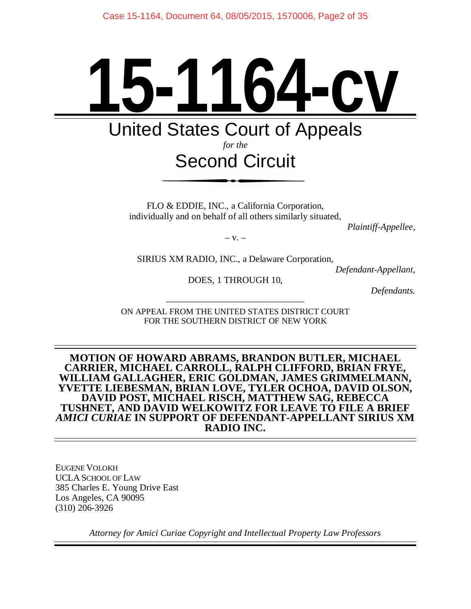# **15-1164-cv**

# United States Court of Appeals

# *for the* Second Circuit

FLO & EDDIE, INC., a California Corporation, individually and on behalf of all others similarly situated,

*Plaintiff-Appellee,*

 $-V. -$ 

SIRIUS XM RADIO, INC., a Delaware Corporation,

*Defendant-Appellant,*

DOES, 1 THROUGH 10,

*Defendants.*

–––––––––––––––––––––––––––––– ON APPEAL FROM THE UNITED STATES DISTRICT COURT FOR THE SOUTHERN DISTRICT OF NEW YORK

#### **MOTION OF HOWARD ABRAMS, BRANDON BUTLER, MICHAEL CARRIER, MICHAEL CARROLL, RALPH CLIFFORD, BRIAN FRYE, WILLIAM GALLAGHER, ERIC GOLDMAN, JAMES GRIMMELMANN, YVETTE LIEBESMAN, BRIAN LOVE, TYLER OCHOA, DAVID OLSON, DAVID POST, MICHAEL RISCH, MATTHEW SAG, REBECCA TUSHNET, AND DAVID WELKOWITZ FOR LEAVE TO FILE A BRIEF** *AMICI CURIAE* **IN SUPPORT OF DEFENDANT-APPELLANT SIRIUS XM RADIO INC.**

EUGENE VOLOKH UCLA SCHOOL OF LAW 385 Charles E. Young Drive East Los Angeles, CA 90095 (310) 206-3926

*Attorney for Amici Curiae Copyright and Intellectual Property Law Professors*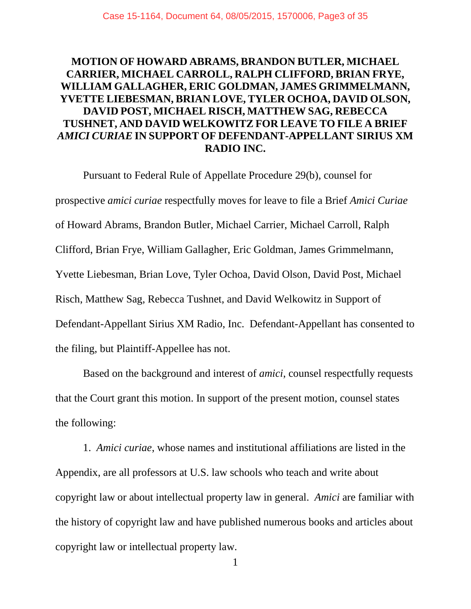## **MOTION OF HOWARD ABRAMS, BRANDON BUTLER, MICHAEL CARRIER, MICHAEL CARROLL, RALPH CLIFFORD, BRIAN FRYE, WILLIAM GALLAGHER, ERIC GOLDMAN, JAMES GRIMMELMANN, YVETTE LIEBESMAN, BRIAN LOVE, TYLER OCHOA, DAVID OLSON, DAVID POST, MICHAEL RISCH, MATTHEW SAG, REBECCA TUSHNET, AND DAVID WELKOWITZ FOR LEAVE TO FILE A BRIEF** *AMICI CURIAE* **IN SUPPORT OF DEFENDANT-APPELLANT SIRIUS XM RADIO INC.**

Pursuant to Federal Rule of Appellate Procedure 29(b), counsel for prospective *amici curiae* respectfully moves for leave to file a Brief *Amici Curiae* of Howard Abrams, Brandon Butler, Michael Carrier, Michael Carroll, Ralph Clifford, Brian Frye, William Gallagher, Eric Goldman, James Grimmelmann, Yvette Liebesman, Brian Love, Tyler Ochoa, David Olson, David Post, Michael Risch, Matthew Sag, Rebecca Tushnet, and David Welkowitz in Support of Defendant-Appellant Sirius XM Radio, Inc. Defendant-Appellant has consented to the filing, but Plaintiff-Appellee has not.

Based on the background and interest of *amici*, counsel respectfully requests that the Court grant this motion. In support of the present motion, counsel states the following:

1. *Amici curiae*, whose names and institutional affiliations are listed in the Appendix, are all professors at U.S. law schools who teach and write about copyright law or about intellectual property law in general. *Amici* are familiar with the history of copyright law and have published numerous books and articles about copyright law or intellectual property law.

1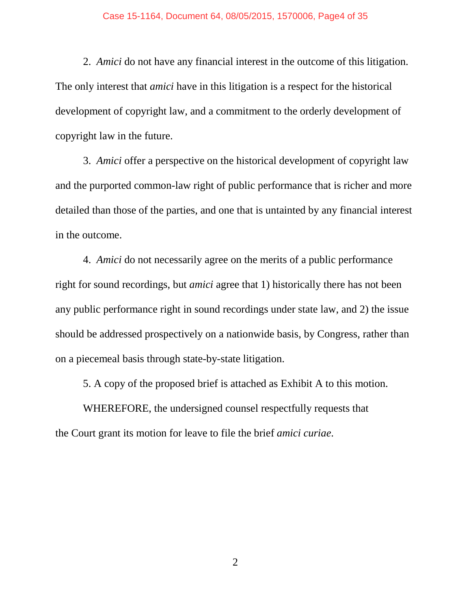2. *Amici* do not have any financial interest in the outcome of this litigation. The only interest that *amici* have in this litigation is a respect for the historical development of copyright law, and a commitment to the orderly development of copyright law in the future.

3. *Amici* offer a perspective on the historical development of copyright law and the purported common-law right of public performance that is richer and more detailed than those of the parties, and one that is untainted by any financial interest in the outcome.

4. *Amici* do not necessarily agree on the merits of a public performance right for sound recordings, but *amici* agree that 1) historically there has not been any public performance right in sound recordings under state law, and 2) the issue should be addressed prospectively on a nationwide basis, by Congress, rather than on a piecemeal basis through state-by-state litigation.

5. A copy of the proposed brief is attached as Exhibit A to this motion.

WHEREFORE, the undersigned counsel respectfully requests that the Court grant its motion for leave to file the brief *amici curiae*.

2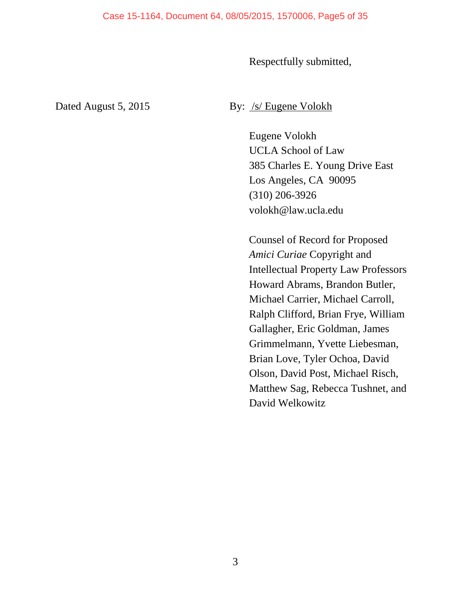Respectfully submitted,

Dated August 5, 2015 By: /s/ Eugene Volokh

Eugene Volokh UCLA School of Law 385 Charles E. Young Drive East Los Angeles, CA 90095 (310) 206-3926 volokh@law.ucla.edu

Counsel of Record for Proposed *Amici Curiae* Copyright and Intellectual Property Law Professors Howard Abrams, Brandon Butler, Michael Carrier, Michael Carroll, Ralph Clifford, Brian Frye, William Gallagher, Eric Goldman, James Grimmelmann, Yvette Liebesman, Brian Love, Tyler Ochoa, David Olson, David Post, Michael Risch, Matthew Sag, Rebecca Tushnet, and David Welkowitz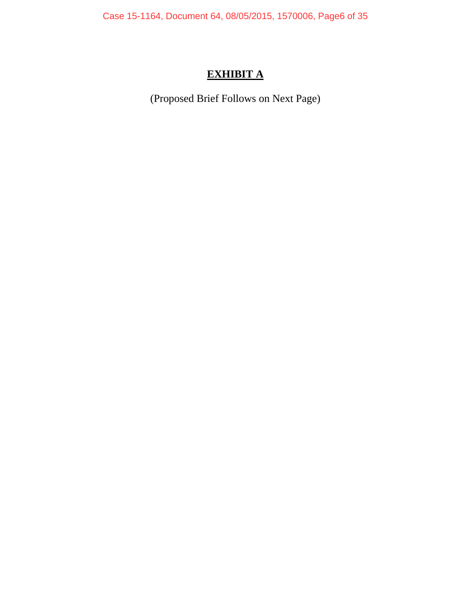Case 15-1164, Document 64, 08/05/2015, 1570006, Page6 of 35

# **EXHIBIT A**

(Proposed Brief Follows on Next Page)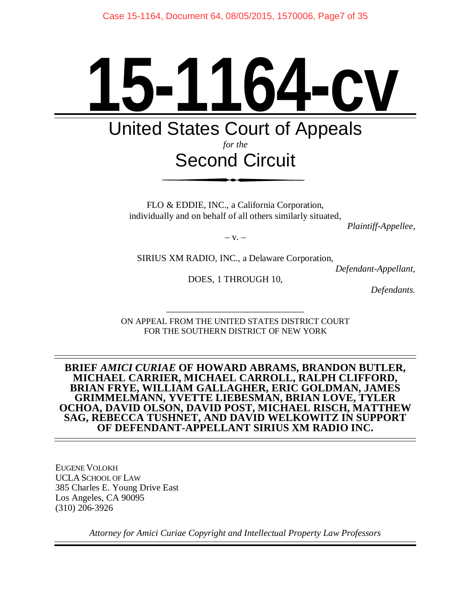# **15-1164-cv** United States Court of Appeals

# *for the* Second Circuit

FLO & EDDIE, INC., a California Corporation, individually and on behalf of all others similarly situated,

*Plaintiff-Appellee,*

 $-V. -$ 

SIRIUS XM RADIO, INC., a Delaware Corporation,

*Defendant-Appellant,*

DOES, 1 THROUGH 10,

*Defendants.*

–––––––––––––––––––––––––––––– ON APPEAL FROM THE UNITED STATES DISTRICT COURT FOR THE SOUTHERN DISTRICT OF NEW YORK

#### **BRIEF** *AMICI CURIAE* **OF HOWARD ABRAMS, BRANDON BUTLER, MICHAEL CARRIER, MICHAEL CARROLL, RALPH CLIFFORD, BRIAN FRYE, WILLIAM GALLAGHER, ERIC GOLDMAN, JAMES GRIMMELMANN, YVETTE LIEBESMAN, BRIAN LOVE, TYLER OCHOA, DAVID OLSON, DAVID POST, MICHAEL RISCH, MATTHEW SAG, REBECCA TUSHNET, AND DAVID WELKOWITZ IN SUPPORT OF DEFENDANT-APPELLANT SIRIUS XM RADIO INC.**

EUGENE VOLOKH UCLA SCHOOL OF LAW 385 Charles E. Young Drive East Los Angeles, CA 90095 (310) 206-3926

*Attorney for Amici Curiae Copyright and Intellectual Property Law Professors*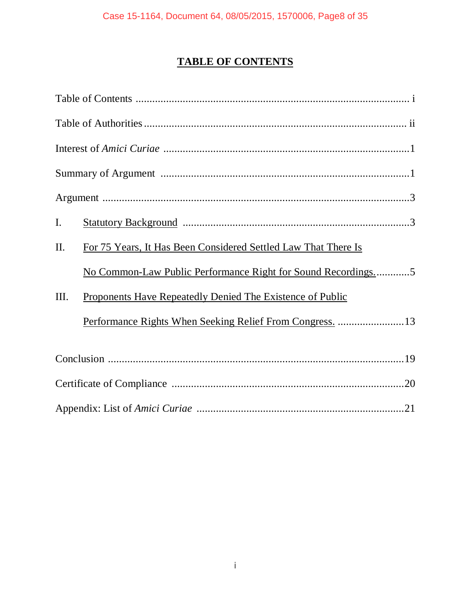# **TABLE OF CONTENTS**

| I.   |                                                                |
|------|----------------------------------------------------------------|
| II.  | For 75 Years, It Has Been Considered Settled Law That There Is |
|      | No Common-Law Public Performance Right for Sound Recordings5   |
| III. | Proponents Have Repeatedly Denied The Existence of Public      |
|      | Performance Rights When Seeking Relief From Congress. 13       |
|      |                                                                |
|      |                                                                |
|      |                                                                |
|      |                                                                |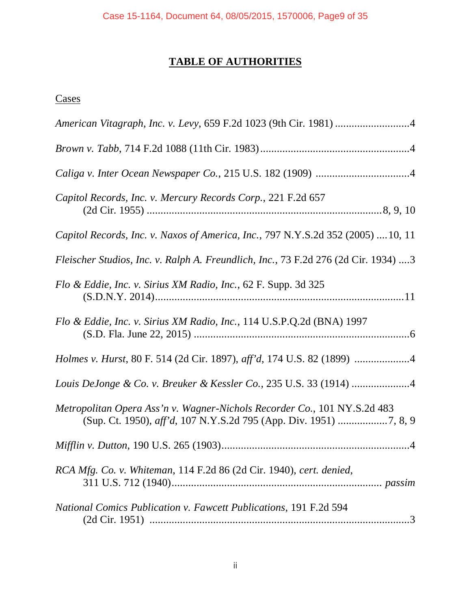# **TABLE OF AUTHORITIES**

# **Cases**

| Capitol Records, Inc. v. Mercury Records Corp., 221 F.2d 657                       |
|------------------------------------------------------------------------------------|
| Capitol Records, Inc. v. Naxos of America, Inc., 797 N.Y.S.2d 352 (2005) 10, 11    |
| Fleischer Studios, Inc. v. Ralph A. Freundlich, Inc., 73 F.2d 276 (2d Cir. 1934) 3 |
| Flo & Eddie, Inc. v. Sirius XM Radio, Inc., 62 F. Supp. 3d 325                     |
| Flo & Eddie, Inc. v. Sirius XM Radio, Inc., 114 U.S.P.Q.2d (BNA) 1997              |
| Holmes v. Hurst, 80 F. 514 (2d Cir. 1897), aff'd, 174 U.S. 82 (1899) 4             |
| Louis DeJonge & Co. v. Breuker & Kessler Co., 235 U.S. 33 (1914) 4                 |
| Metropolitan Opera Ass'n v. Wagner-Nichols Recorder Co., 101 NY.S.2d 483           |
|                                                                                    |
| RCA Mfg. Co. v. Whiteman, 114 F.2d 86 (2d Cir. 1940), cert. denied,                |
| <b>National Comics Publication v. Fawcett Publications, 191 F.2d 594</b>           |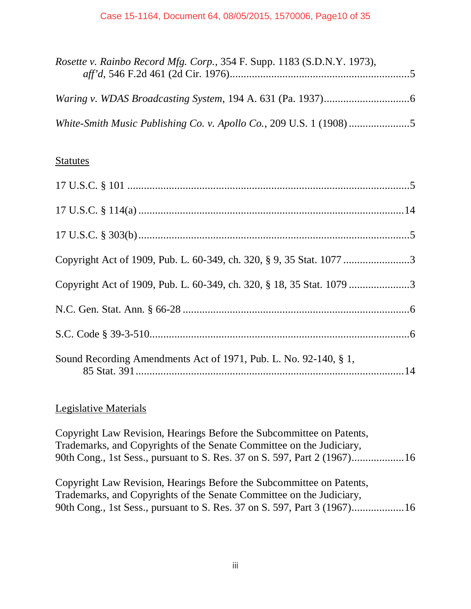| Rosette v. Rainbo Record Mfg. Corp., 354 F. Supp. 1183 (S.D.N.Y. 1973), |  |
|-------------------------------------------------------------------------|--|
|                                                                         |  |
|                                                                         |  |

#### **Statutes**

| Sound Recording Amendments Act of 1971, Pub. L. No. 92-140, § 1, |  |
|------------------------------------------------------------------|--|

#### Legislative Materials

| Copyright Law Revision, Hearings Before the Subcommittee on Patents, |
|----------------------------------------------------------------------|
| Trademarks, and Copyrights of the Senate Committee on the Judiciary, |
|                                                                      |
|                                                                      |

Copyright Law Revision, Hearings Before the Subcommittee on Patents, Trademarks, and Copyrights of the Senate Committee on the Judiciary, 90th Cong., 1st Sess., pursuant to S. Res. 37 on S. 597, Part 3 (1967)...................16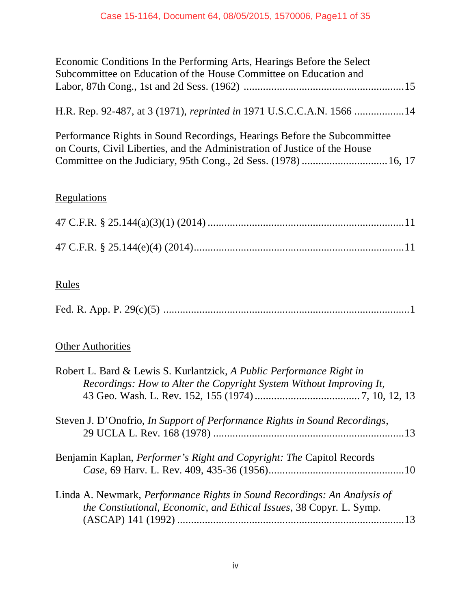| Economic Conditions In the Performing Arts, Hearings Before the Select     |  |
|----------------------------------------------------------------------------|--|
| Subcommittee on Education of the House Committee on Education and          |  |
|                                                                            |  |
|                                                                            |  |
| H.R. Rep. 92-487, at 3 (1971), reprinted in 1971 U.S.C.C.A.N. 1566 14      |  |
|                                                                            |  |
| Performance Rights in Sound Recordings, Hearings Before the Subcommittee   |  |
| on Courts, Civil Liberties, and the Administration of Justice of the House |  |
|                                                                            |  |

# **Regulations**

# Rules

|--|

# **Other Authorities**

| Robert L. Bard & Lewis S. Kurlantzick, A Public Performance Right in<br>Recordings: How to Alter the Copyright System Without Improving It,                   |  |
|---------------------------------------------------------------------------------------------------------------------------------------------------------------|--|
| Steven J. D'Onofrio, <i>In Support of Performance Rights in Sound Recordings</i> ,                                                                            |  |
| Benjamin Kaplan, <i>Performer's Right and Copyright: The Capitol Records</i>                                                                                  |  |
| Linda A. Newmark, <i>Performance Rights in Sound Recordings: An Analysis of</i><br><i>the Constiutional, Economic, and Ethical Issues, 38 Copyr. L. Symp.</i> |  |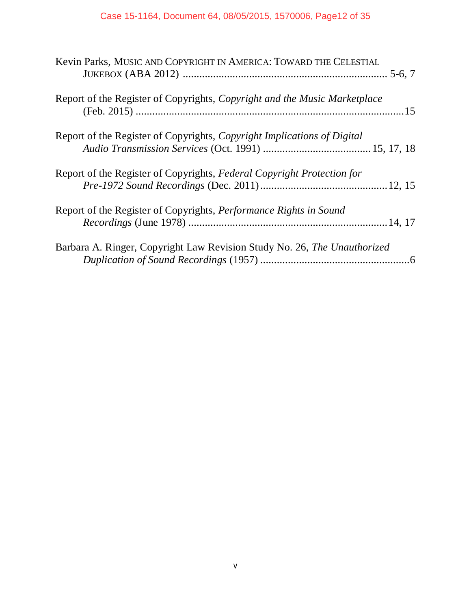| Kevin Parks, MUSIC AND COPYRIGHT IN AMERICA: TOWARD THE CELESTIAL         |
|---------------------------------------------------------------------------|
| Report of the Register of Copyrights, Copyright and the Music Marketplace |
| Report of the Register of Copyrights, Copyright Implications of Digital   |
| Report of the Register of Copyrights, Federal Copyright Protection for    |
| Report of the Register of Copyrights, Performance Rights in Sound         |
| Barbara A. Ringer, Copyright Law Revision Study No. 26, The Unauthorized  |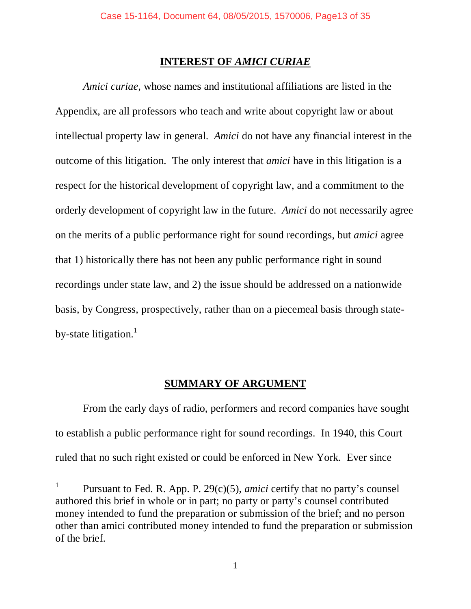#### **INTEREST OF** *AMICI CURIAE*

*Amici curiae*, whose names and institutional affiliations are listed in the Appendix, are all professors who teach and write about copyright law or about intellectual property law in general. *Amici* do not have any financial interest in the outcome of this litigation. The only interest that *amici* have in this litigation is a respect for the historical development of copyright law, and a commitment to the orderly development of copyright law in the future. *Amici* do not necessarily agree on the merits of a public performance right for sound recordings, but *amici* agree that 1) historically there has not been any public performance right in sound recordings under state law, and 2) the issue should be addressed on a nationwide basis, by Congress, prospectively, rather than on a piecemeal basis through stateby-state litigation. $<sup>1</sup>$ </sup>

#### **SUMMARY OF ARGUMENT**

From the early days of radio, performers and record companies have sought to establish a public performance right for sound recordings. In 1940, this Court ruled that no such right existed or could be enforced in New York. Ever since

 $\overline{\phantom{a}}$ 

<sup>1</sup> Pursuant to Fed. R. App. P. 29(c)(5), *amici* certify that no party's counsel authored this brief in whole or in part; no party or party's counsel contributed money intended to fund the preparation or submission of the brief; and no person other than amici contributed money intended to fund the preparation or submission of the brief.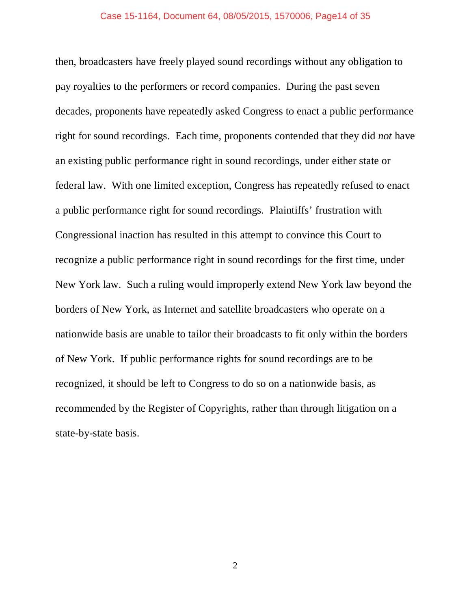then, broadcasters have freely played sound recordings without any obligation to pay royalties to the performers or record companies. During the past seven decades, proponents have repeatedly asked Congress to enact a public performance right for sound recordings. Each time, proponents contended that they did *not* have an existing public performance right in sound recordings, under either state or federal law. With one limited exception, Congress has repeatedly refused to enact a public performance right for sound recordings. Plaintiffs' frustration with Congressional inaction has resulted in this attempt to convince this Court to recognize a public performance right in sound recordings for the first time, under New York law. Such a ruling would improperly extend New York law beyond the borders of New York, as Internet and satellite broadcasters who operate on a nationwide basis are unable to tailor their broadcasts to fit only within the borders of New York. If public performance rights for sound recordings are to be recognized, it should be left to Congress to do so on a nationwide basis, as recommended by the Register of Copyrights, rather than through litigation on a state-by-state basis.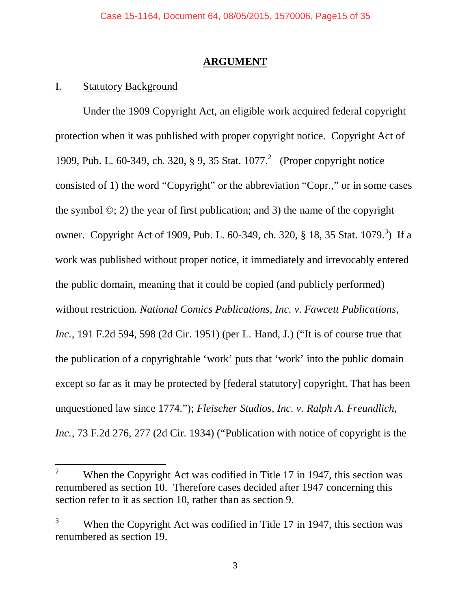#### **ARGUMENT**

#### I. Statutory Background

Under the 1909 Copyright Act, an eligible work acquired federal copyright protection when it was published with proper copyright notice. Copyright Act of 1909, Pub. L. 60-349, ch. 320, § 9, 35 Stat. 1077. 2 (Proper copyright notice consisted of 1) the word "Copyright" or the abbreviation "Copr.," or in some cases the symbol ©; 2) the year of first publication; and 3) the name of the copyright owner. Copyright Act of 1909, Pub. L. 60-349, ch. 320, § 18, 35 Stat. 1079.<sup>3</sup>) If a work was published without proper notice, it immediately and irrevocably entered the public domain, meaning that it could be copied (and publicly performed) without restriction. *National Comics Publications, Inc. v. Fawcett Publications, Inc.*, 191 F.2d 594, 598 (2d Cir. 1951) (per L. Hand, J.) ("It is of course true that the publication of a copyrightable 'work' puts that 'work' into the public domain except so far as it may be protected by [federal statutory] copyright. That has been unquestioned law since 1774."); *Fleischer Studios, Inc. v. Ralph A. Freundlich, Inc.*, 73 F.2d 276, 277 (2d Cir. 1934) ("Publication with notice of copyright is the

 $\overline{2}$ <sup>2</sup> When the Copyright Act was codified in Title 17 in 1947, this section was renumbered as section 10. Therefore cases decided after 1947 concerning this section refer to it as section 10, rather than as section 9.

<sup>&</sup>lt;sup>3</sup> When the Copyright Act was codified in Title 17 in 1947, this section was renumbered as section 19.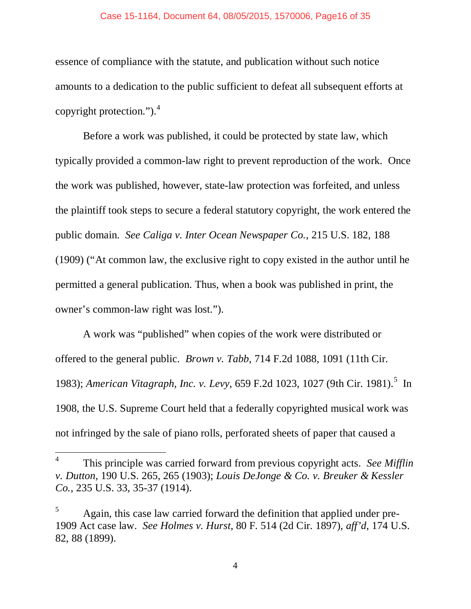#### Case 15-1164, Document 64, 08/05/2015, 1570006, Page16 of 35

essence of compliance with the statute, and publication without such notice amounts to a dedication to the public sufficient to defeat all subsequent efforts at copyright protection."). 4

Before a work was published, it could be protected by state law, which typically provided a common-law right to prevent reproduction of the work. Once the work was published, however, state-law protection was forfeited, and unless the plaintiff took steps to secure a federal statutory copyright, the work entered the public domain. *See Caliga v. Inter Ocean Newspaper Co.*, 215 U.S. 182, 188 (1909) ("At common law, the exclusive right to copy existed in the author until he permitted a general publication. Thus, when a book was published in print, the owner's common-law right was lost.").

A work was "published" when copies of the work were distributed or offered to the general public. *Brown v. Tabb*, 714 F.2d 1088, 1091 (11th Cir. 1983); *American Vitagraph, Inc. v. Levy,* 659 F.2d 1023, 1027 (9th Cir. 1981).<sup>5</sup> In 1908, the U.S. Supreme Court held that a federally copyrighted musical work was not infringed by the sale of piano rolls, perforated sheets of paper that caused a

 $\overline{\phantom{a}}$ 

<sup>4</sup> This principle was carried forward from previous copyright acts. *See Mifflin v. Dutton*, 190 U.S. 265, 265 (1903); *Louis DeJonge & Co. v. Breuker & Kessler Co.*, 235 U.S. 33, 35-37 (1914).

<sup>5</sup> Again, this case law carried forward the definition that applied under pre-1909 Act case law. *See Holmes v. Hurst*, 80 F. 514 (2d Cir. 1897), *aff'd*, 174 U.S. 82, 88 (1899).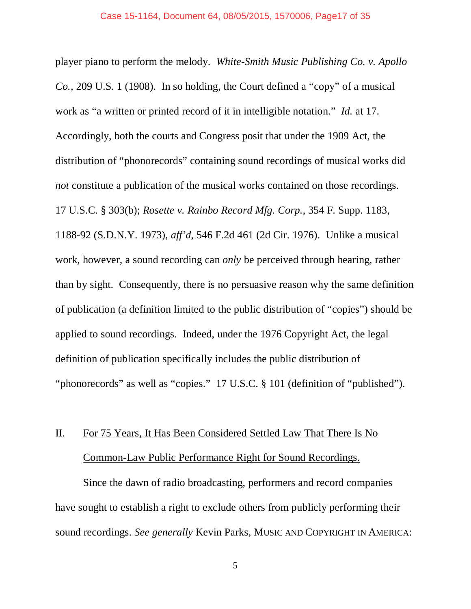player piano to perform the melody. *White-Smith Music Publishing Co. v. Apollo Co.*, 209 U.S. 1 (1908). In so holding, the Court defined a "copy" of a musical work as "a written or printed record of it in intelligible notation." *Id.* at 17. Accordingly, both the courts and Congress posit that under the 1909 Act, the distribution of "phonorecords" containing sound recordings of musical works did *not* constitute a publication of the musical works contained on those recordings. 17 U.S.C. § 303(b); *Rosette v. Rainbo Record Mfg. Corp.*, 354 F. Supp. 1183, 1188-92 (S.D.N.Y. 1973), *aff'd*, 546 F.2d 461 (2d Cir. 1976). Unlike a musical work, however, a sound recording can *only* be perceived through hearing, rather than by sight. Consequently, there is no persuasive reason why the same definition of publication (a definition limited to the public distribution of "copies") should be applied to sound recordings. Indeed, under the 1976 Copyright Act, the legal definition of publication specifically includes the public distribution of "phonorecords" as well as "copies." 17 U.S.C. § 101 (definition of "published").

# II. For 75 Years, It Has Been Considered Settled Law That There Is No Common-Law Public Performance Right for Sound Recordings.

Since the dawn of radio broadcasting, performers and record companies have sought to establish a right to exclude others from publicly performing their sound recordings. *See generally* Kevin Parks, MUSIC AND COPYRIGHT IN AMERICA: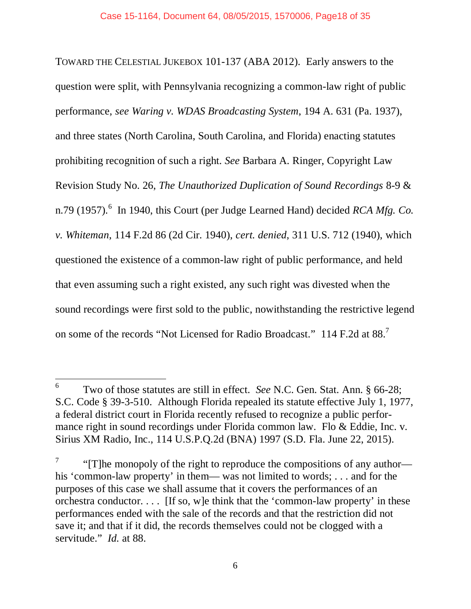TOWARD THE CELESTIAL JUKEBOX 101-137 (ABA 2012). Early answers to the question were split, with Pennsylvania recognizing a common-law right of public performance, *see Waring v. WDAS Broadcasting System*, 194 A. 631 (Pa. 1937), and three states (North Carolina, South Carolina, and Florida) enacting statutes prohibiting recognition of such a right. *See* Barbara A. Ringer, Copyright Law Revision Study No. 26, *The Unauthorized Duplication of Sound Recordings* 8-9 & n.79 (1957).<sup>6</sup> In 1940, this Court (per Judge Learned Hand) decided *RCA Mfg. Co. v. Whiteman*, 114 F.2d 86 (2d Cir. 1940), *cert. denied*, 311 U.S. 712 (1940), which questioned the existence of a common-law right of public performance, and held that even assuming such a right existed, any such right was divested when the sound recordings were first sold to the public, nowithstanding the restrictive legend on some of the records "Not Licensed for Radio Broadcast." 114 F.2d at 88.<sup>7</sup>

 $\overline{a}$ 

<sup>6</sup> Two of those statutes are still in effect. *See* N.C. Gen. Stat. Ann. § 66-28; S.C. Code § 39-3-510. Although Florida repealed its statute effective July 1, 1977, a federal district court in Florida recently refused to recognize a public performance right in sound recordings under Florida common law. Flo & Eddie, Inc. v. Sirius XM Radio, Inc., 114 U.S.P.Q.2d (BNA) 1997 (S.D. Fla. June 22, 2015).

<sup>7</sup> "[T]he monopoly of the right to reproduce the compositions of any author his 'common-law property' in them— was not limited to words; . . . and for the purposes of this case we shall assume that it covers the performances of an orchestra conductor.  $\ldots$  [If so, w]e think that the 'common-law property' in these performances ended with the sale of the records and that the restriction did not save it; and that if it did, the records themselves could not be clogged with a servitude." *Id.* at 88.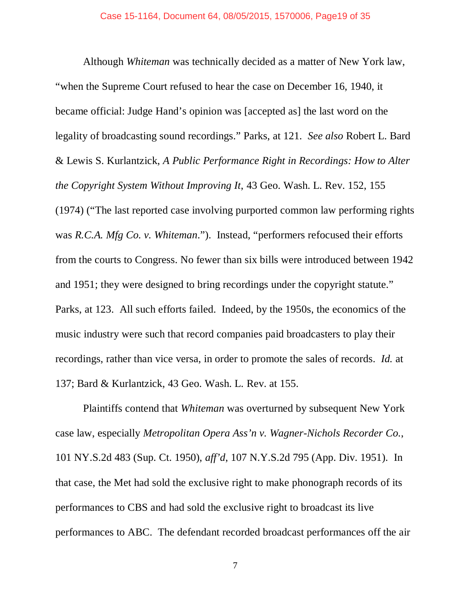Although *Whiteman* was technically decided as a matter of New York law, "when the Supreme Court refused to hear the case on December 16, 1940, it became official: Judge Hand's opinion was [accepted as] the last word on the legality of broadcasting sound recordings." Parks, at 121. *See also* Robert L. Bard & Lewis S. Kurlantzick, *A Public Performance Right in Recordings: How to Alter the Copyright System Without Improving It*, 43 Geo. Wash. L. Rev. 152, 155 (1974) ("The last reported case involving purported common law performing rights was *R.C.A. Mfg Co. v. Whiteman*."). Instead, "performers refocused their efforts from the courts to Congress. No fewer than six bills were introduced between 1942 and 1951; they were designed to bring recordings under the copyright statute." Parks, at 123. All such efforts failed. Indeed, by the 1950s, the economics of the music industry were such that record companies paid broadcasters to play their recordings, rather than vice versa, in order to promote the sales of records. *Id.* at 137; Bard & Kurlantzick, 43 Geo. Wash. L. Rev. at 155.

Plaintiffs contend that *Whiteman* was overturned by subsequent New York case law, especially *Metropolitan Opera Ass'n v. Wagner-Nichols Recorder Co.*, 101 NY.S.2d 483 (Sup. Ct. 1950), *aff'd*, 107 N.Y.S.2d 795 (App. Div. 1951). In that case, the Met had sold the exclusive right to make phonograph records of its performances to CBS and had sold the exclusive right to broadcast its live performances to ABC. The defendant recorded broadcast performances off the air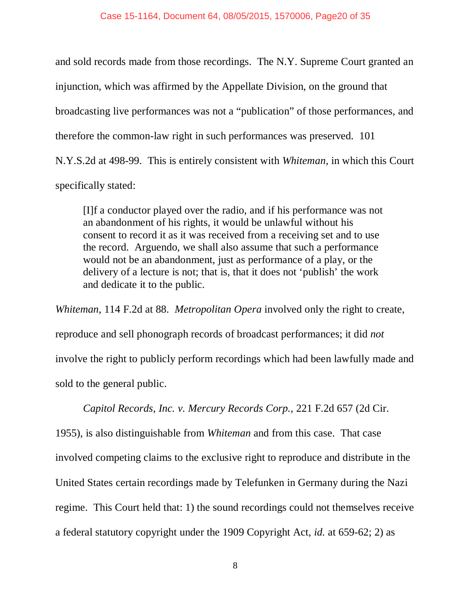and sold records made from those recordings. The N.Y. Supreme Court granted an injunction, which was affirmed by the Appellate Division, on the ground that broadcasting live performances was not a "publication" of those performances, and therefore the common-law right in such performances was preserved. 101 N.Y.S.2d at 498-99. This is entirely consistent with *Whiteman*, in which this Court specifically stated:

[I]f a conductor played over the radio, and if his performance was not an abandonment of his rights, it would be unlawful without his consent to record it as it was received from a receiving set and to use the record. Arguendo, we shall also assume that such a performance would not be an abandonment, just as performance of a play, or the delivery of a lecture is not; that is, that it does not 'publish' the work and dedicate it to the public.

*Whiteman*, 114 F.2d at 88. *Metropolitan Opera* involved only the right to create, reproduce and sell phonograph records of broadcast performances; it did *not* involve the right to publicly perform recordings which had been lawfully made and sold to the general public.

*Capitol Records, Inc. v. Mercury Records Corp.*, 221 F.2d 657 (2d Cir.

1955), is also distinguishable from *Whiteman* and from this case. That case involved competing claims to the exclusive right to reproduce and distribute in the United States certain recordings made by Telefunken in Germany during the Nazi regime. This Court held that: 1) the sound recordings could not themselves receive a federal statutory copyright under the 1909 Copyright Act, *id.* at 659-62; 2) as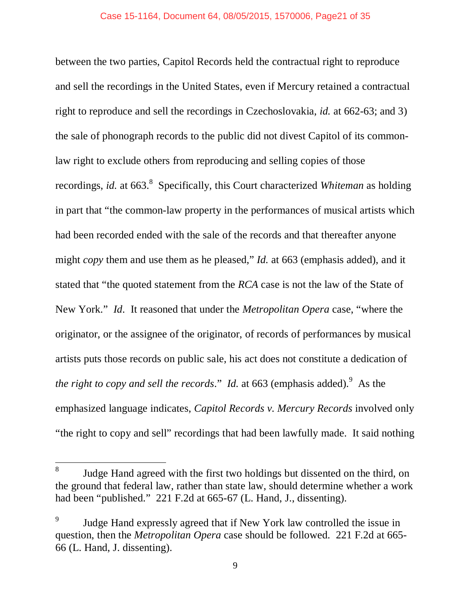between the two parties, Capitol Records held the contractual right to reproduce and sell the recordings in the United States, even if Mercury retained a contractual right to reproduce and sell the recordings in Czechoslovakia, *id.* at 662-63; and 3) the sale of phonograph records to the public did not divest Capitol of its commonlaw right to exclude others from reproducing and selling copies of those recordings, *id.* at 663.<sup>8</sup> Specifically, this Court characterized *Whiteman* as holding in part that "the common-law property in the performances of musical artists which had been recorded ended with the sale of the records and that thereafter anyone might *copy* them and use them as he pleased," *Id.* at 663 (emphasis added), and it stated that "the quoted statement from the *RCA* case is not the law of the State of New York." *Id*. It reasoned that under the *Metropolitan Opera* case, "where the originator, or the assignee of the originator, of records of performances by musical artists puts those records on public sale, his act does not constitute a dedication of the right to copy and sell the records." Id. at 663 (emphasis added).<sup>9</sup> As the emphasized language indicates, *Capitol Records v. Mercury Records* involved only "the right to copy and sell" recordings that had been lawfully made. It said nothing

 $\overline{\phantom{a}}$ 

<sup>8</sup> Judge Hand agreed with the first two holdings but dissented on the third, on the ground that federal law, rather than state law, should determine whether a work had been "published." 221 F.2d at 665-67 (L. Hand, J., dissenting).

<sup>9</sup> Judge Hand expressly agreed that if New York law controlled the issue in question, then the *Metropolitan Opera* case should be followed. 221 F.2d at 665- 66 (L. Hand, J. dissenting).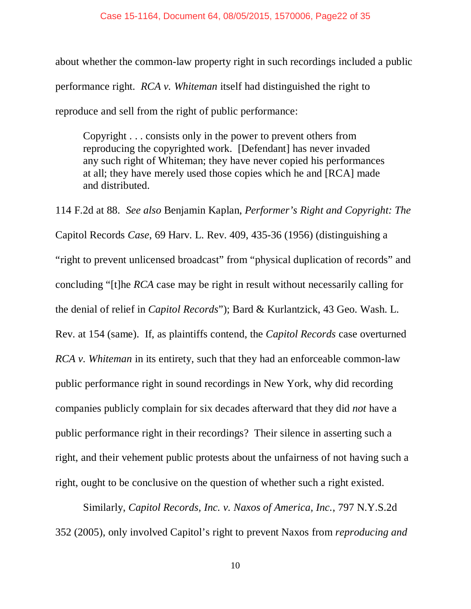about whether the common-law property right in such recordings included a public performance right. *RCA v. Whiteman* itself had distinguished the right to reproduce and sell from the right of public performance:

Copyright . . . consists only in the power to prevent others from reproducing the copyrighted work. [Defendant] has never invaded any such right of Whiteman; they have never copied his performances at all; they have merely used those copies which he and [RCA] made and distributed.

114 F.2d at 88. *See also* Benjamin Kaplan, *Performer's Right and Copyright: The*  Capitol Records *Case*, 69 Harv. L. Rev. 409, 435-36 (1956) (distinguishing a "right to prevent unlicensed broadcast" from "physical duplication of records" and concluding "[t]he *RCA* case may be right in result without necessarily calling for the denial of relief in *Capitol Records*"); Bard & Kurlantzick, 43 Geo. Wash. L. Rev. at 154 (same). If, as plaintiffs contend, the *Capitol Records* case overturned *RCA v. Whiteman* in its entirety, such that they had an enforceable common-law public performance right in sound recordings in New York, why did recording companies publicly complain for six decades afterward that they did *not* have a public performance right in their recordings? Their silence in asserting such a right, and their vehement public protests about the unfairness of not having such a right, ought to be conclusive on the question of whether such a right existed.

Similarly, *Capitol Records, Inc. v. Naxos of America, Inc.*, 797 N.Y.S.2d 352 (2005), only involved Capitol's right to prevent Naxos from *reproducing and*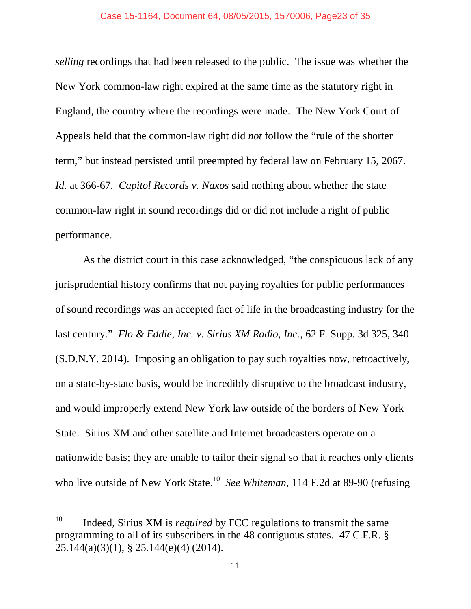*selling* recordings that had been released to the public. The issue was whether the New York common-law right expired at the same time as the statutory right in England, the country where the recordings were made. The New York Court of Appeals held that the common-law right did *not* follow the "rule of the shorter term," but instead persisted until preempted by federal law on February 15, 2067. *Id.* at 366-67. *Capitol Records v. Naxos* said nothing about whether the state common-law right in sound recordings did or did not include a right of public performance.

As the district court in this case acknowledged, "the conspicuous lack of any jurisprudential history confirms that not paying royalties for public performances of sound recordings was an accepted fact of life in the broadcasting industry for the last century." *Flo & Eddie, Inc. v. Sirius XM Radio, Inc.*, 62 F. Supp. 3d 325, 340 (S.D.N.Y. 2014). Imposing an obligation to pay such royalties now, retroactively, on a state-by-state basis, would be incredibly disruptive to the broadcast industry, and would improperly extend New York law outside of the borders of New York State. Sirius XM and other satellite and Internet broadcasters operate on a nationwide basis; they are unable to tailor their signal so that it reaches only clients who live outside of New York State.<sup>10</sup> See Whiteman, 114 F.2d at 89-90 (refusing

<sup>10</sup> <sup>10</sup> Indeed, Sirius XM is *required* by FCC regulations to transmit the same programming to all of its subscribers in the 48 contiguous states. 47 C.F.R. § 25.144(a)(3)(1), § 25.144(e)(4) (2014).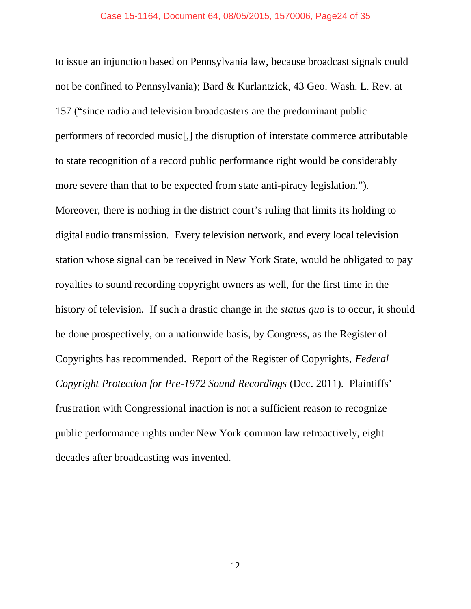to issue an injunction based on Pennsylvania law, because broadcast signals could not be confined to Pennsylvania); Bard & Kurlantzick, 43 Geo. Wash. L. Rev. at 157 ("since radio and television broadcasters are the predominant public performers of recorded music[,] the disruption of interstate commerce attributable to state recognition of a record public performance right would be considerably more severe than that to be expected from state anti-piracy legislation."). Moreover, there is nothing in the district court's ruling that limits its holding to digital audio transmission. Every television network, and every local television station whose signal can be received in New York State, would be obligated to pay royalties to sound recording copyright owners as well, for the first time in the history of television. If such a drastic change in the *status quo* is to occur, it should be done prospectively, on a nationwide basis, by Congress, as the Register of Copyrights has recommended. Report of the Register of Copyrights, *Federal Copyright Protection for Pre-1972 Sound Recordings* (Dec. 2011). Plaintiffs' frustration with Congressional inaction is not a sufficient reason to recognize public performance rights under New York common law retroactively, eight decades after broadcasting was invented.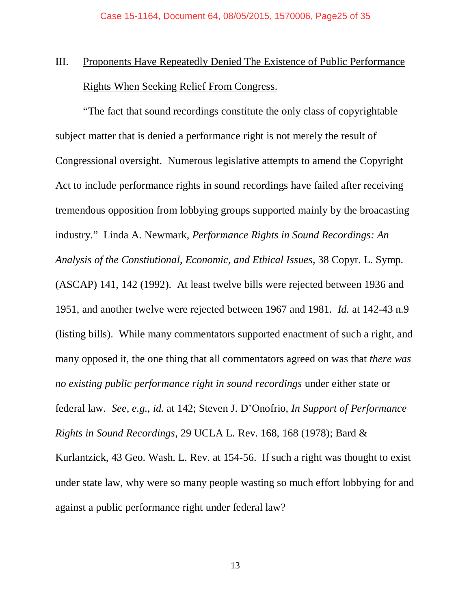# III. Proponents Have Repeatedly Denied The Existence of Public Performance Rights When Seeking Relief From Congress.

"The fact that sound recordings constitute the only class of copyrightable subject matter that is denied a performance right is not merely the result of Congressional oversight. Numerous legislative attempts to amend the Copyright Act to include performance rights in sound recordings have failed after receiving tremendous opposition from lobbying groups supported mainly by the broacasting industry." Linda A. Newmark, *Performance Rights in Sound Recordings: An Analysis of the Constiutional, Economic, and Ethical Issues*, 38 Copyr. L. Symp. (ASCAP) 141, 142 (1992). At least twelve bills were rejected between 1936 and 1951, and another twelve were rejected between 1967 and 1981. *Id.* at 142-43 n.9 (listing bills). While many commentators supported enactment of such a right, and many opposed it, the one thing that all commentators agreed on was that *there was no existing public performance right in sound recordings* under either state or federal law. *See, e.g.*, *id.* at 142; Steven J. D'Onofrio, *In Support of Performance Rights in Sound Recordings*, 29 UCLA L. Rev. 168, 168 (1978); Bard & Kurlantzick, 43 Geo. Wash. L. Rev. at 154-56. If such a right was thought to exist under state law, why were so many people wasting so much effort lobbying for and against a public performance right under federal law?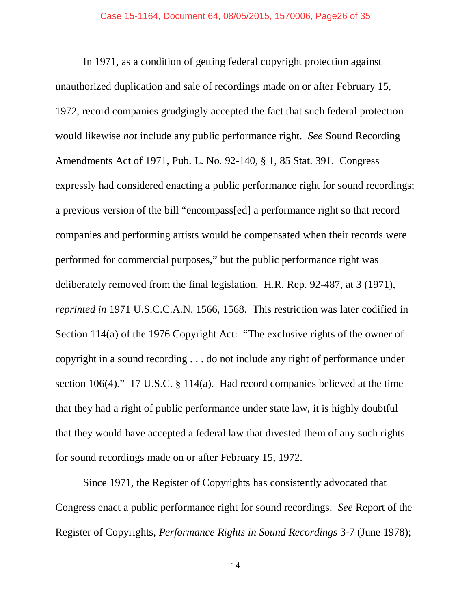In 1971, as a condition of getting federal copyright protection against unauthorized duplication and sale of recordings made on or after February 15, 1972, record companies grudgingly accepted the fact that such federal protection would likewise *not* include any public performance right. *See* Sound Recording Amendments Act of 1971, Pub. L. No. 92-140, § 1, 85 Stat. 391. Congress expressly had considered enacting a public performance right for sound recordings; a previous version of the bill "encompass[ed] a performance right so that record companies and performing artists would be compensated when their records were performed for commercial purposes," but the public performance right was deliberately removed from the final legislation. H.R. Rep. 92-487, at 3 (1971), *reprinted in* 1971 U.S.C.C.A.N. 1566, 1568. This restriction was later codified in Section 114(a) of the 1976 Copyright Act: "The exclusive rights of the owner of copyright in a sound recording . . . do not include any right of performance under section 106(4)." 17 U.S.C. § 114(a). Had record companies believed at the time that they had a right of public performance under state law, it is highly doubtful that they would have accepted a federal law that divested them of any such rights for sound recordings made on or after February 15, 1972.

Since 1971, the Register of Copyrights has consistently advocated that Congress enact a public performance right for sound recordings. *See* Report of the Register of Copyrights, *Performance Rights in Sound Recordings* 3-7 (June 1978);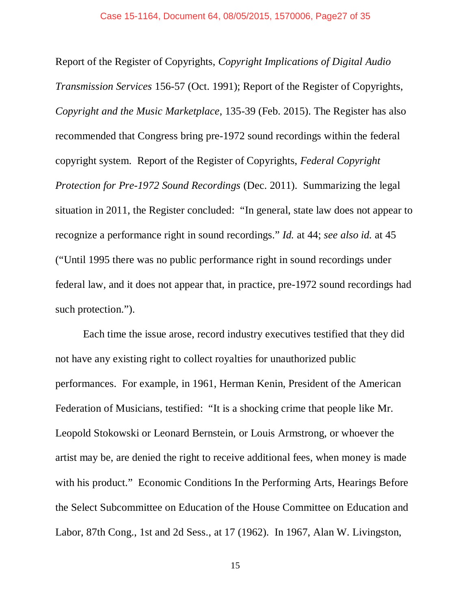Report of the Register of Copyrights, *Copyright Implications of Digital Audio Transmission Services* 156-57 (Oct. 1991); Report of the Register of Copyrights, *Copyright and the Music Marketplace*, 135-39 (Feb. 2015). The Register has also recommended that Congress bring pre-1972 sound recordings within the federal copyright system. Report of the Register of Copyrights, *Federal Copyright Protection for Pre-1972 Sound Recordings* (Dec. 2011). Summarizing the legal situation in 2011, the Register concluded: "In general, state law does not appear to recognize a performance right in sound recordings." *Id.* at 44; *see also id.* at 45 ("Until 1995 there was no public performance right in sound recordings under federal law, and it does not appear that, in practice, pre-1972 sound recordings had such protection.").

Each time the issue arose, record industry executives testified that they did not have any existing right to collect royalties for unauthorized public performances. For example, in 1961, Herman Kenin, President of the American Federation of Musicians, testified: "It is a shocking crime that people like Mr. Leopold Stokowski or Leonard Bernstein, or Louis Armstrong, or whoever the artist may be, are denied the right to receive additional fees, when money is made with his product." Economic Conditions In the Performing Arts, Hearings Before the Select Subcommittee on Education of the House Committee on Education and Labor, 87th Cong., 1st and 2d Sess., at 17 (1962). In 1967, Alan W. Livingston,

15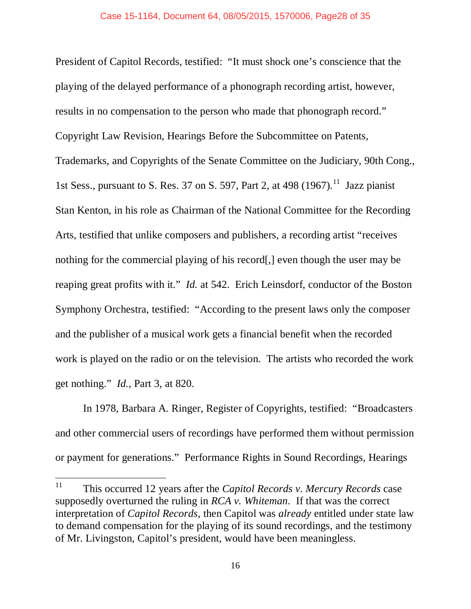President of Capitol Records, testified: "It must shock one's conscience that the playing of the delayed performance of a phonograph recording artist, however, results in no compensation to the person who made that phonograph record." Copyright Law Revision, Hearings Before the Subcommittee on Patents, Trademarks, and Copyrights of the Senate Committee on the Judiciary, 90th Cong., 1st Sess., pursuant to S. Res. 37 on S. 597, Part 2, at 498  $(1967)$ .<sup>11</sup> Jazz pianist Stan Kenton, in his role as Chairman of the National Committee for the Recording Arts, testified that unlike composers and publishers, a recording artist "receives nothing for the commercial playing of his record[,] even though the user may be reaping great profits with it." *Id.* at 542. Erich Leinsdorf, conductor of the Boston Symphony Orchestra, testified: "According to the present laws only the composer and the publisher of a musical work gets a financial benefit when the recorded work is played on the radio or on the television. The artists who recorded the work get nothing." *Id.*, Part 3, at 820.

In 1978, Barbara A. Ringer, Register of Copyrights, testified: "Broadcasters and other commercial users of recordings have performed them without permission or payment for generations." Performance Rights in Sound Recordings, Hearings

<sup>11</sup> <sup>11</sup> This occurred 12 years after the *Capitol Records v. Mercury Records* case supposedly overturned the ruling in *RCA v. Whiteman*. If that was the correct interpretation of *Capitol Records*, then Capitol was *already* entitled under state law to demand compensation for the playing of its sound recordings, and the testimony of Mr. Livingston, Capitol's president, would have been meaningless.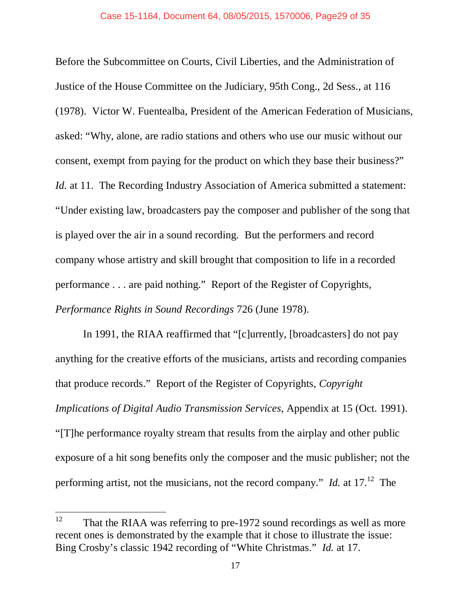Before the Subcommittee on Courts, Civil Liberties, and the Administration of Justice of the House Committee on the Judiciary, 95th Cong., 2d Sess., at 116 (1978). Victor W. Fuentealba, President of the American Federation of Musicians, asked: "Why, alone, are radio stations and others who use our music without our consent, exempt from paying for the product on which they base their business?" *Id.* at 11. The Recording Industry Association of America submitted a statement: "Under existing law, broadcasters pay the composer and publisher of the song that is played over the air in a sound recording. But the performers and record company whose artistry and skill brought that composition to life in a recorded performance . . . are paid nothing." Report of the Register of Copyrights, *Performance Rights in Sound Recordings* 726 (June 1978).

In 1991, the RIAA reaffirmed that "[c]urrently, [broadcasters] do not pay anything for the creative efforts of the musicians, artists and recording companies that produce records." Report of the Register of Copyrights, *Copyright Implications of Digital Audio Transmission Services*, Appendix at 15 (Oct. 1991). "[T]he performance royalty stream that results from the airplay and other public exposure of a hit song benefits only the composer and the music publisher; not the performing artist, not the musicians, not the record company." *Id.* at 17.<sup>12</sup> The

<sup>12</sup> That the RIAA was referring to pre-1972 sound recordings as well as more recent ones is demonstrated by the example that it chose to illustrate the issue: Bing Crosby's classic 1942 recording of "White Christmas." *Id.* at 17.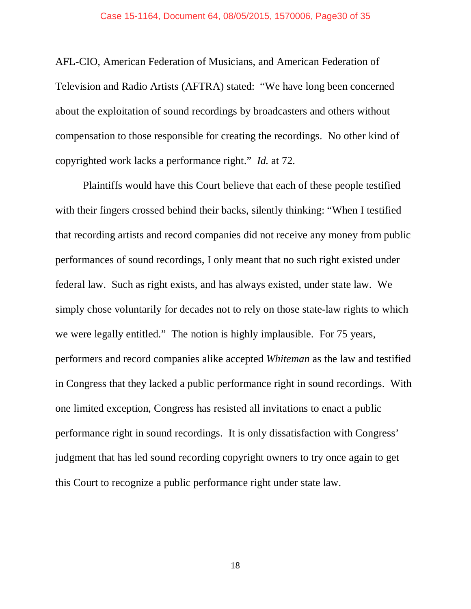AFL-CIO, American Federation of Musicians, and American Federation of Television and Radio Artists (AFTRA) stated: "We have long been concerned about the exploitation of sound recordings by broadcasters and others without compensation to those responsible for creating the recordings. No other kind of copyrighted work lacks a performance right." *Id.* at 72.

Plaintiffs would have this Court believe that each of these people testified with their fingers crossed behind their backs, silently thinking: "When I testified that recording artists and record companies did not receive any money from public performances of sound recordings, I only meant that no such right existed under federal law. Such as right exists, and has always existed, under state law. We simply chose voluntarily for decades not to rely on those state-law rights to which we were legally entitled." The notion is highly implausible. For 75 years, performers and record companies alike accepted *Whiteman* as the law and testified in Congress that they lacked a public performance right in sound recordings. With one limited exception, Congress has resisted all invitations to enact a public performance right in sound recordings. It is only dissatisfaction with Congress' judgment that has led sound recording copyright owners to try once again to get this Court to recognize a public performance right under state law.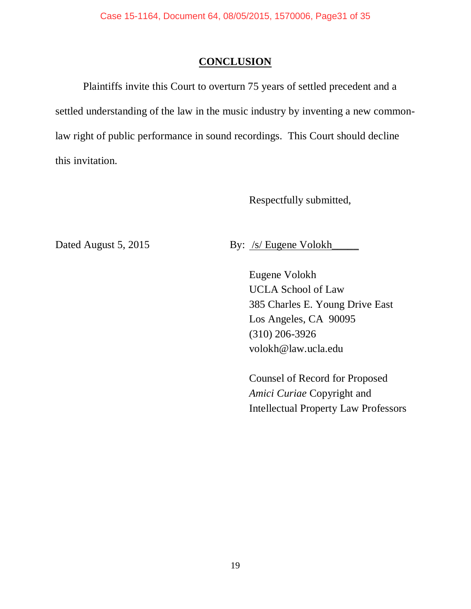#### **CONCLUSION**

Plaintiffs invite this Court to overturn 75 years of settled precedent and a settled understanding of the law in the music industry by inventing a new commonlaw right of public performance in sound recordings. This Court should decline this invitation.

Respectfully submitted,

Dated August 5, 2015 By: /s/ Eugene Volokh

Eugene Volokh UCLA School of Law 385 Charles E. Young Drive East Los Angeles, CA 90095 (310) 206-3926 [volokh@law.ucla.edu](mailto:volokh@law.ucla.edu)

Counsel of Record for Proposed *Amici Curiae* Copyright and Intellectual Property Law Professors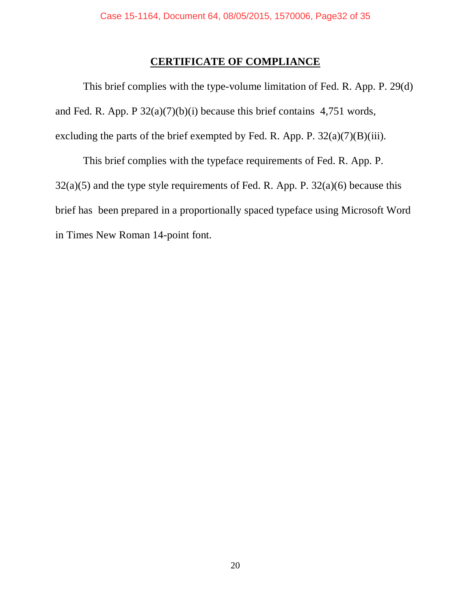#### **CERTIFICATE OF COMPLIANCE**

This brief complies with the type-volume limitation of Fed. R. App. P. 29(d) and Fed. R. App. P  $32(a)(7)(b)(i)$  because this brief contains 4,751 words, excluding the parts of the brief exempted by Fed. R. App. P.  $32(a)(7)(B)(iii)$ .

This brief complies with the typeface requirements of Fed. R. App. P.  $32(a)(5)$  and the type style requirements of Fed. R. App. P.  $32(a)(6)$  because this brief has been prepared in a proportionally spaced typeface using Microsoft Word in Times New Roman 14-point font.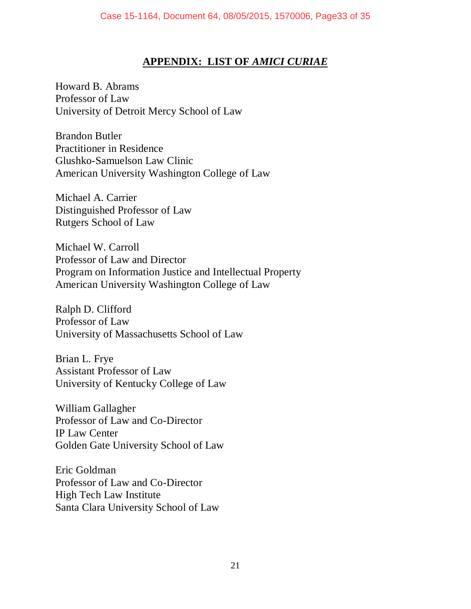## **APPENDIX: LIST OF** *AMICI CURIAE*

Howard B. Abrams Professor of Law University of Detroit Mercy School of Law

Brandon Butler Practitioner in Residence Glushko-Samuelson Law Clinic American University Washington College of Law

Michael A. Carrier Distinguished Professor of Law Rutgers School of Law

Michael W. Carroll Professor of Law and Director Program on Information Justice and Intellectual Property American University Washington College of Law

Ralph D. Clifford Professor of Law University of Massachusetts School of Law

Brian L. Frye Assistant Professor of Law University of Kentucky College of Law

William Gallagher Professor of Law and Co-Director IP Law Center Golden Gate University School of Law

Eric Goldman Professor of Law and Co-Director High Tech Law Institute Santa Clara University School of Law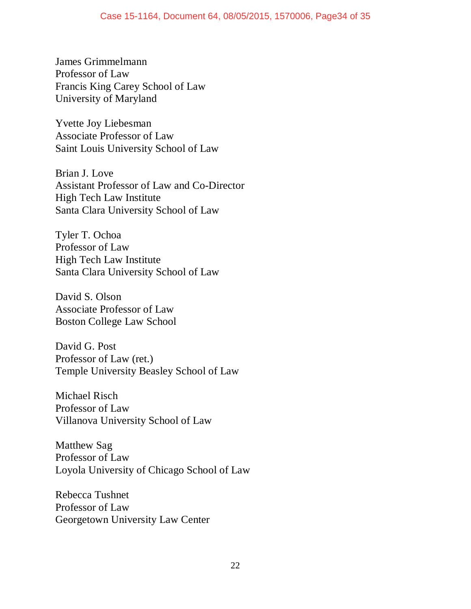James Grimmelmann Professor of Law Francis King Carey School of Law University of Maryland

Yvette Joy Liebesman Associate Professor of Law Saint Louis University School of Law

Brian J. Love Assistant Professor of Law and Co-Director High Tech Law Institute Santa Clara University School of Law

Tyler T. Ochoa Professor of Law High Tech Law Institute Santa Clara University School of Law

David S. Olson Associate Professor of Law Boston College Law School

David G. Post Professor of Law (ret.) Temple University Beasley School of Law

Michael Risch Professor of Law Villanova University School of Law

Matthew Sag Professor of Law Loyola University of Chicago School of Law

Rebecca Tushnet Professor of Law Georgetown University Law Center